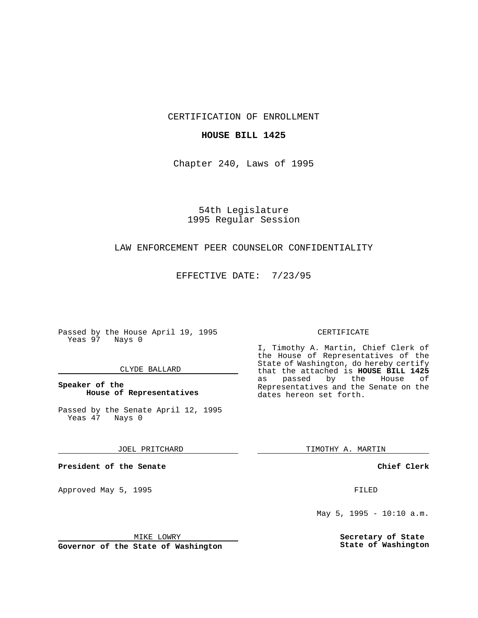CERTIFICATION OF ENROLLMENT

## **HOUSE BILL 1425**

Chapter 240, Laws of 1995

54th Legislature 1995 Regular Session

# LAW ENFORCEMENT PEER COUNSELOR CONFIDENTIALITY

EFFECTIVE DATE: 7/23/95

Passed by the House April 19, 1995 Yeas 97 Nays 0

## CLYDE BALLARD

## **Speaker of the House of Representatives**

Passed by the Senate April 12, 1995<br>Yeas 47 Nays 0 Yeas 47

#### JOEL PRITCHARD

**President of the Senate**

Approved May 5, 1995 **FILED** 

#### MIKE LOWRY

**Governor of the State of Washington**

#### CERTIFICATE

I, Timothy A. Martin, Chief Clerk of the House of Representatives of the State of Washington, do hereby certify that the attached is **HOUSE BILL 1425** as passed by the House of Representatives and the Senate on the dates hereon set forth.

TIMOTHY A. MARTIN

## **Chief Clerk**

May 5, 1995 - 10:10 a.m.

**Secretary of State State of Washington**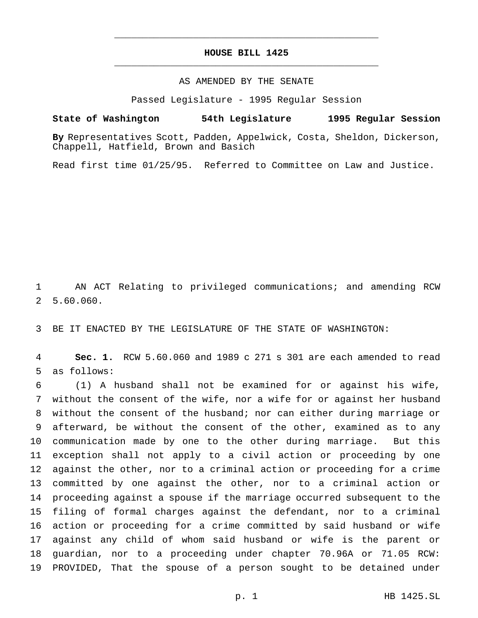## **HOUSE BILL 1425** \_\_\_\_\_\_\_\_\_\_\_\_\_\_\_\_\_\_\_\_\_\_\_\_\_\_\_\_\_\_\_\_\_\_\_\_\_\_\_\_\_\_\_\_\_\_\_

\_\_\_\_\_\_\_\_\_\_\_\_\_\_\_\_\_\_\_\_\_\_\_\_\_\_\_\_\_\_\_\_\_\_\_\_\_\_\_\_\_\_\_\_\_\_\_

## AS AMENDED BY THE SENATE

Passed Legislature - 1995 Regular Session

#### **State of Washington 54th Legislature 1995 Regular Session**

**By** Representatives Scott, Padden, Appelwick, Costa, Sheldon, Dickerson, Chappell, Hatfield, Brown and Basich

Read first time 01/25/95. Referred to Committee on Law and Justice.

 AN ACT Relating to privileged communications; and amending RCW 5.60.060.

BE IT ENACTED BY THE LEGISLATURE OF THE STATE OF WASHINGTON:

 **Sec. 1.** RCW 5.60.060 and 1989 c 271 s 301 are each amended to read as follows:

 (1) A husband shall not be examined for or against his wife, without the consent of the wife, nor a wife for or against her husband without the consent of the husband; nor can either during marriage or afterward, be without the consent of the other, examined as to any communication made by one to the other during marriage. But this exception shall not apply to a civil action or proceeding by one against the other, nor to a criminal action or proceeding for a crime committed by one against the other, nor to a criminal action or proceeding against a spouse if the marriage occurred subsequent to the filing of formal charges against the defendant, nor to a criminal action or proceeding for a crime committed by said husband or wife against any child of whom said husband or wife is the parent or guardian, nor to a proceeding under chapter 70.96A or 71.05 RCW: PROVIDED, That the spouse of a person sought to be detained under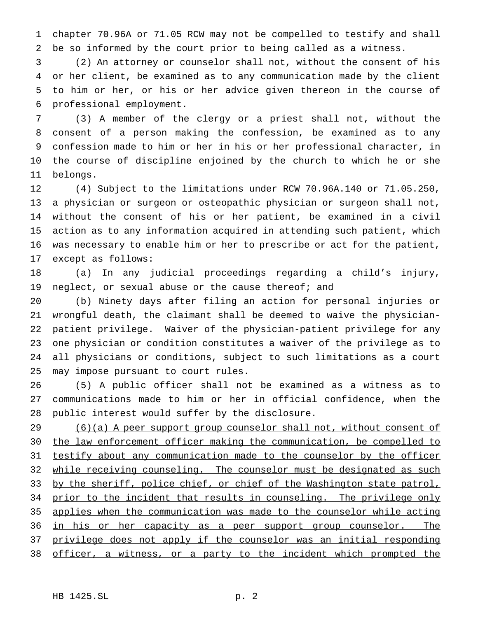chapter 70.96A or 71.05 RCW may not be compelled to testify and shall be so informed by the court prior to being called as a witness.

 (2) An attorney or counselor shall not, without the consent of his or her client, be examined as to any communication made by the client to him or her, or his or her advice given thereon in the course of professional employment.

 (3) A member of the clergy or a priest shall not, without the consent of a person making the confession, be examined as to any confession made to him or her in his or her professional character, in the course of discipline enjoined by the church to which he or she belongs.

 (4) Subject to the limitations under RCW 70.96A.140 or 71.05.250, a physician or surgeon or osteopathic physician or surgeon shall not, without the consent of his or her patient, be examined in a civil action as to any information acquired in attending such patient, which was necessary to enable him or her to prescribe or act for the patient, except as follows:

 (a) In any judicial proceedings regarding a child's injury, 19 neglect, or sexual abuse or the cause thereof; and

 (b) Ninety days after filing an action for personal injuries or wrongful death, the claimant shall be deemed to waive the physician- patient privilege. Waiver of the physician-patient privilege for any one physician or condition constitutes a waiver of the privilege as to all physicians or conditions, subject to such limitations as a court may impose pursuant to court rules.

 (5) A public officer shall not be examined as a witness as to communications made to him or her in official confidence, when the public interest would suffer by the disclosure.

 (6)(a) A peer support group counselor shall not, without consent of the law enforcement officer making the communication, be compelled to 31 testify about any communication made to the counselor by the officer 32 while receiving counseling. The counselor must be designated as such 33 by the sheriff, police chief, or chief of the Washington state patrol, 34 prior to the incident that results in counseling. The privilege only applies when the communication was made to the counselor while acting 36 in his or her capacity as a peer support group counselor. The 37 privilege does not apply if the counselor was an initial responding 38 officer, a witness, or a party to the incident which prompted the